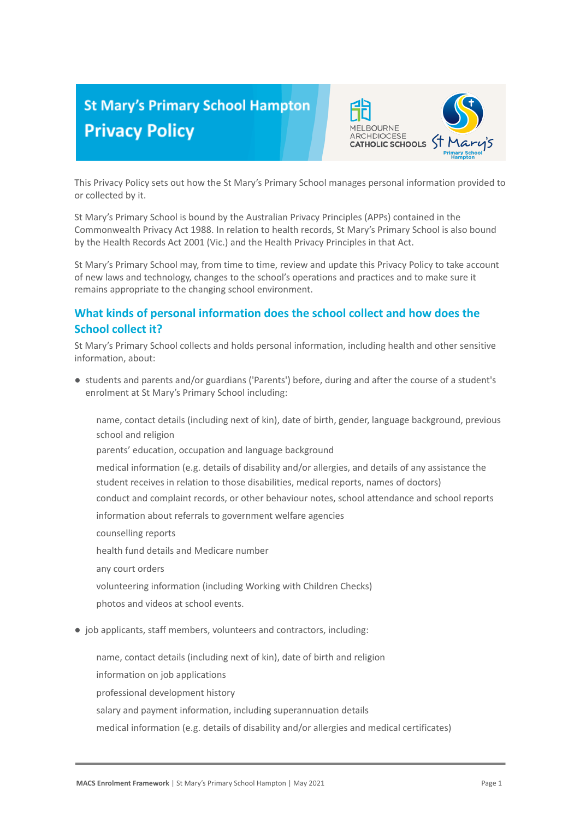# **St Mary's Primary School Hampton Privacy Policy**



This Privacy Policy sets out how the St Mary's Primary School manages personal information provided to or collected by it.

St Mary's Primary School is bound by the Australian Privacy Principles (APPs) contained in the Commonwealth Privacy Act 1988. In relation to health records, St Mary's Primary School is also bound by the Health Records Act 2001 (Vic.) and the Health Privacy Principles in that Act.

St Mary's Primary School may, from time to time, review and update this Privacy Policy to take account of new laws and technology, changes to the school's operations and practices and to make sure it remains appropriate to the changing school environment.

# **What kinds of personal information does the school collect and how does the School collect it?**

St Mary's Primary School collects and holds personal information, including health and other sensitive information, about:

● students and parents and/or guardians ('Parents') before, during and after the course of a student's enrolment at St Mary's Primary School including:

name, contact details (including next of kin), date of birth, gender, language background, previous school and religion

parents' education, occupation and language background

-medical information (e.g. details of disability and/or allergies, and details of any assistance the student receives in relation to those disabilities, medical reports, names of doctors) conduct and complaint records, or other behaviour notes, school attendance and school reports

information about referrals to government welfare agencies

-counselling reports

health fund details and Medicare number

any court orders

volunteering information (including Working with Children Checks)

-photos and videos at school events.

● job applicants, staff members, volunteers and contractors, including:

name, contact details (including next of kin), date of birth and religion information on job applications professional development history salary and payment information, including superannuation details medical information (e.g. details of disability and/or allergies and medical certificates)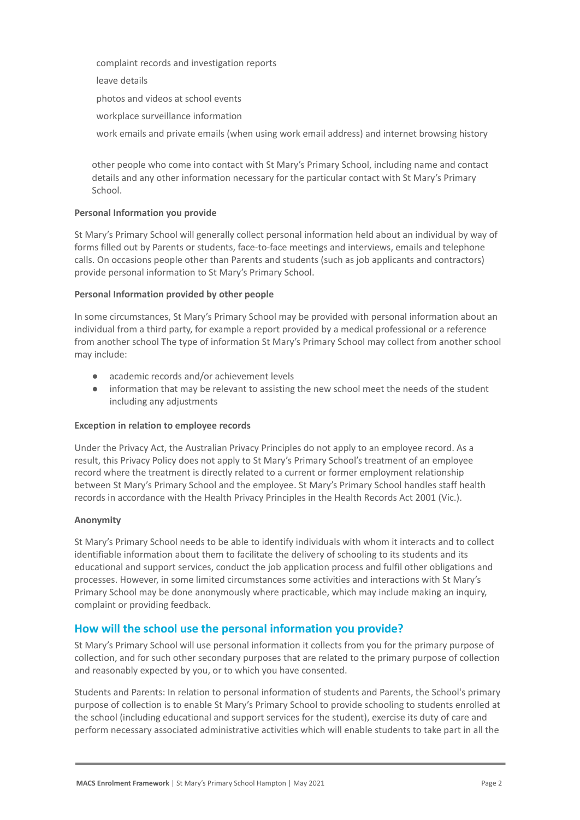-complaint records and investigation reports

leave details

-photos and videos at school events

workplace surveillance information

work emails and private emails (when using work email address) and internet browsing history

other people who come into contact with St Mary's Primary School, including name and contact details and any other information necessary for the particular contact with St Mary's Primary School.

#### **Personal Information you provide**

St Mary's Primary School will generally collect personal information held about an individual by way of forms filled out by Parents or students, face-to-face meetings and interviews, emails and telephone calls. On occasions people other than Parents and students (such as job applicants and contractors) provide personal information to St Mary's Primary School.

#### **Personal Information provided by other people**

In some circumstances, St Mary's Primary School may be provided with personal information about an individual from a third party, for example a report provided by a medical professional or a reference from another school The type of information St Mary's Primary School may collect from another school may include:

- academic records and/or achievement levels
- information that may be relevant to assisting the new school meet the needs of the student including any adjustments

#### **Exception in relation to employee records**

Under the Privacy Act, the Australian Privacy Principles do not apply to an employee record. As a result, this Privacy Policy does not apply to St Mary's Primary School's treatment of an employee record where the treatment is directly related to a current or former employment relationship between St Mary's Primary School and the employee. St Mary's Primary School handles staff health records in accordance with the Health Privacy Principles in the Health Records Act 2001 (Vic.).

#### **Anonymity**

St Mary's Primary School needs to be able to identify individuals with whom it interacts and to collect identifiable information about them to facilitate the delivery of schooling to its students and its educational and support services, conduct the job application process and fulfil other obligations and processes. However, in some limited circumstances some activities and interactions with St Mary's Primary School may be done anonymously where practicable, which may include making an inquiry, complaint or providing feedback.

# **How will the school use the personal information you provide?**

St Mary's Primary School will use personal information it collects from you for the primary purpose of collection, and for such other secondary purposes that are related to the primary purpose of collection and reasonably expected by you, or to which you have consented.

Students and Parents: In relation to personal information of students and Parents, the School's primary purpose of collection is to enable St Mary's Primary School to provide schooling to students enrolled at the school (including educational and support services for the student), exercise its duty of care and perform necessary associated administrative activities which will enable students to take part in all the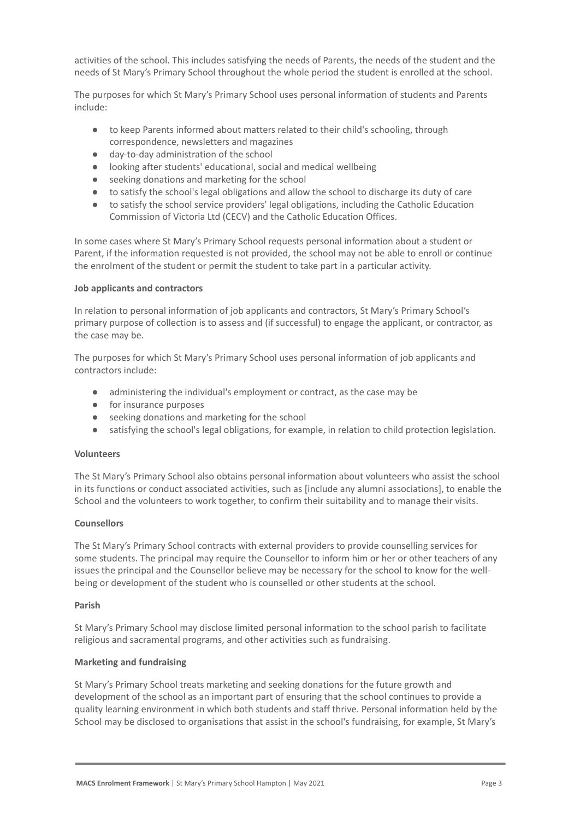activities of the school. This includes satisfying the needs of Parents, the needs of the student and the needs of St Mary's Primary School throughout the whole period the student is enrolled at the school.

The purposes for which St Mary's Primary School uses personal information of students and Parents include:

- to keep Parents informed about matters related to their child's schooling, through correspondence, newsletters and magazines
- day-to-day administration of the school
- looking after students' educational, social and medical wellbeing
- seeking donations and marketing for the school
- to satisfy the school's legal obligations and allow the school to discharge its duty of care
- to satisfy the school service providers' legal obligations, including the Catholic Education Commission of Victoria Ltd (CECV) and the Catholic Education Offices.

In some cases where St Mary's Primary School requests personal information about a student or Parent, if the information requested is not provided, the school may not be able to enroll or continue the enrolment of the student or permit the student to take part in a particular activity.

#### **Job applicants and contractors**

In relation to personal information of job applicants and contractors, St Mary's Primary School's primary purpose of collection is to assess and (if successful) to engage the applicant, or contractor, as the case may be.

The purposes for which St Mary's Primary School uses personal information of job applicants and contractors include:

- administering the individual's employment or contract, as the case may be
- for insurance purposes
- seeking donations and marketing for the school
- satisfying the school's legal obligations, for example, in relation to child protection legislation.

# **Volunteers**

The St Mary's Primary School also obtains personal information about volunteers who assist the school in its functions or conduct associated activities, such as [include any alumni associations], to enable the School and the volunteers to work together, to confirm their suitability and to manage their visits.

# **Counsellors**

The St Mary's Primary School contracts with external providers to provide counselling services for some students. The principal may require the Counsellor to inform him or her or other teachers of any issues the principal and the Counsellor believe may be necessary for the school to know for the wellbeing or development of the student who is counselled or other students at the school.

#### **Parish**

St Mary's Primary School may disclose limited personal information to the school parish to facilitate religious and sacramental programs, and other activities such as fundraising.

#### **Marketing and fundraising**

St Mary's Primary School treats marketing and seeking donations for the future growth and development of the school as an important part of ensuring that the school continues to provide a quality learning environment in which both students and staff thrive. Personal information held by the School may be disclosed to organisations that assist in the school's fundraising, for example, St Mary's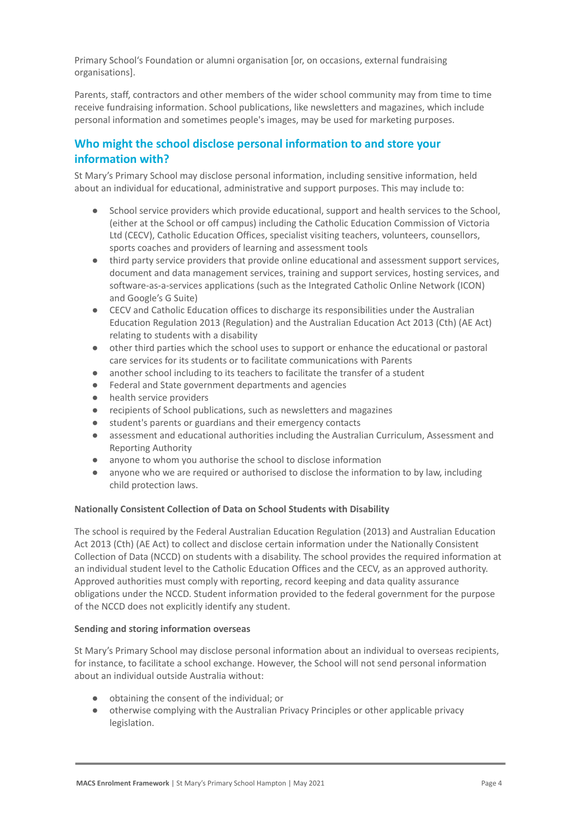Primary School's Foundation or alumni organisation [or, on occasions, external fundraising organisations].

Parents, staff, contractors and other members of the wider school community may from time to time receive fundraising information. School publications, like newsletters and magazines, which include personal information and sometimes people's images, may be used for marketing purposes.

# **Who might the school disclose personal information to and store your information with?**

St Mary's Primary School may disclose personal information, including sensitive information, held about an individual for educational, administrative and support purposes. This may include to:

- School service providers which provide educational, support and health services to the School, (either at the School or off campus) including the Catholic Education Commission of Victoria Ltd (CECV), Catholic Education Offices, specialist visiting teachers, volunteers, counsellors, sports coaches and providers of learning and assessment tools
- third party service providers that provide online educational and assessment support services, document and data management services, training and support services, hosting services, and software-as-a-services applications (such as the Integrated Catholic Online Network (ICON) and Google's G Suite)
- CECV and Catholic Education offices to discharge its responsibilities under the Australian Education Regulation 2013 (Regulation) and the Australian Education Act 2013 (Cth) (AE Act) relating to students with a disability
- other third parties which the school uses to support or enhance the educational or pastoral care services for its students or to facilitate communications with Parents
- another school including to its teachers to facilitate the transfer of a student
- Federal and State government departments and agencies
- health service providers
- recipients of School publications, such as newsletters and magazines
- student's parents or guardians and their emergency contacts
- assessment and educational authorities including the Australian Curriculum, Assessment and Reporting Authority
- anyone to whom you authorise the school to disclose information
- anyone who we are required or authorised to disclose the information to by law, including child protection laws.

# **Nationally Consistent Collection of Data on School Students with Disability**

The school is required by the Federal Australian Education Regulation (2013) and Australian Education Act 2013 (Cth) (AE Act) to collect and disclose certain information under the Nationally Consistent Collection of Data (NCCD) on students with a disability. The school provides the required information at an individual student level to the Catholic Education Offices and the CECV, as an approved authority. Approved authorities must comply with reporting, record keeping and data quality assurance obligations under the NCCD. Student information provided to the federal government for the purpose of the NCCD does not explicitly identify any student.

# **Sending and storing information overseas**

St Mary's Primary School may disclose personal information about an individual to overseas recipients, for instance, to facilitate a school exchange. However, the School will not send personal information about an individual outside Australia without:

- obtaining the consent of the individual; or
- otherwise complying with the Australian Privacy Principles or other applicable privacy legislation.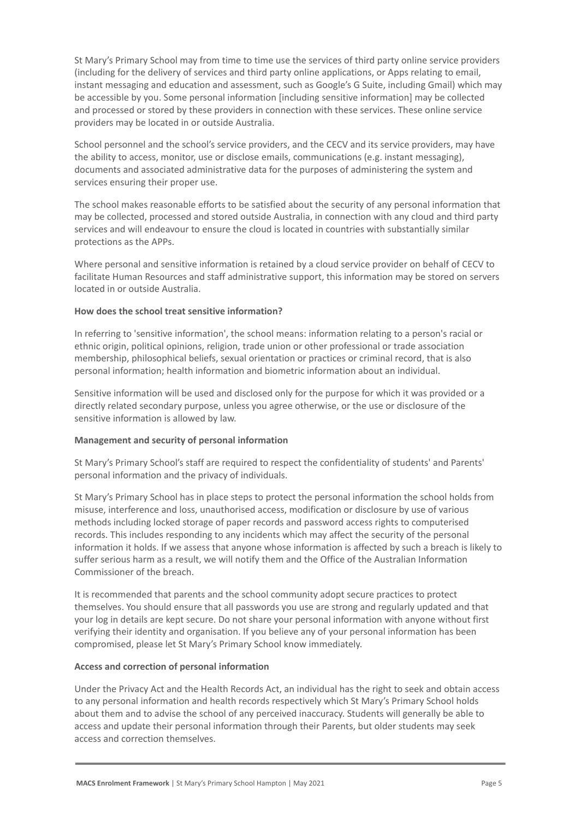St Mary's Primary School may from time to time use the services of third party online service providers (including for the delivery of services and third party online applications, or Apps relating to email, instant messaging and education and assessment, such as Google's G Suite, including Gmail) which may be accessible by you. Some personal information [including sensitive information] may be collected and processed or stored by these providers in connection with these services. These online service providers may be located in or outside Australia.

School personnel and the school's service providers, and the CECV and its service providers, may have the ability to access, monitor, use or disclose emails, communications (e.g. instant messaging), documents and associated administrative data for the purposes of administering the system and services ensuring their proper use.

The school makes reasonable efforts to be satisfied about the security of any personal information that may be collected, processed and stored outside Australia, in connection with any cloud and third party services and will endeavour to ensure the cloud is located in countries with substantially similar protections as the APPs.

Where personal and sensitive information is retained by a cloud service provider on behalf of CECV to facilitate Human Resources and staff administrative support, this information may be stored on servers located in or outside Australia.

#### **How does the school treat sensitive information?**

In referring to 'sensitive information', the school means: information relating to a person's racial or ethnic origin, political opinions, religion, trade union or other professional or trade association membership, philosophical beliefs, sexual orientation or practices or criminal record, that is also personal information; health information and biometric information about an individual.

Sensitive information will be used and disclosed only for the purpose for which it was provided or a directly related secondary purpose, unless you agree otherwise, or the use or disclosure of the sensitive information is allowed by law.

#### **Management and security of personal information**

St Mary's Primary School's staff are required to respect the confidentiality of students' and Parents' personal information and the privacy of individuals.

St Mary's Primary School has in place steps to protect the personal information the school holds from misuse, interference and loss, unauthorised access, modification or disclosure by use of various methods including locked storage of paper records and password access rights to computerised records. This includes responding to any incidents which may affect the security of the personal information it holds. If we assess that anyone whose information is affected by such a breach is likely to suffer serious harm as a result, we will notify them and the Office of the Australian Information Commissioner of the breach.

It is recommended that parents and the school community adopt secure practices to protect themselves. You should ensure that all passwords you use are strong and regularly updated and that your log in details are kept secure. Do not share your personal information with anyone without first verifying their identity and organisation. If you believe any of your personal information has been compromised, please let St Mary's Primary School know immediately.

#### **Access and correction of personal information**

Under the Privacy Act and the Health Records Act, an individual has the right to seek and obtain access to any personal information and health records respectively which St Mary's Primary School holds about them and to advise the school of any perceived inaccuracy. Students will generally be able to access and update their personal information through their Parents, but older students may seek access and correction themselves.